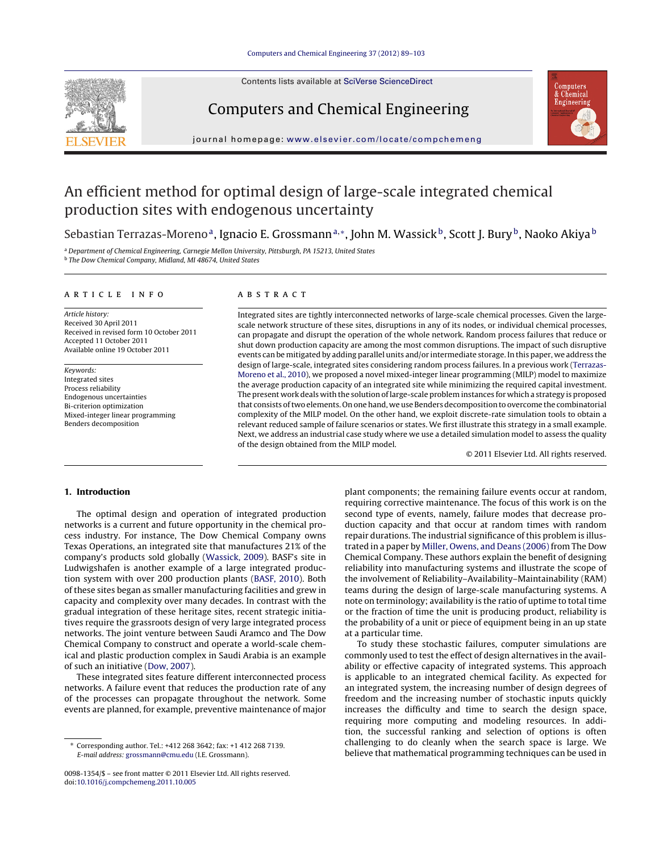## Computers and Chemical Engineering 37 (2012) 89–103

Contents lists available at SciVerse ScienceDirect





## Computers and Chemical Engineering

journal homepage: www.elsevier.com/locate/compchemeng

# An efficient method for optimal design of large-scale integrated chemical production sites with endogenous uncertainty

Sebastian Terrazas-Moreno<sup>a</sup>, Ignacio E. Grossmann<sup>a,</sup>\*, John M. Wassick<sup>b</sup>, Scott J. Bury<sup>b</sup>, Naoko Akiya<sup>b</sup>

a Department of Chemical Engineering, Carnegie Mellon University, Pittsburgh, PA 15213, United States <sup>b</sup> The Dow Chemical Company, Midland, MI 48674, United States

## a r t i c l e i n f o

Article history: Received 30 April 2011 Received in revised form 10 October 2011 Accepted 11 October 2011 Available online 19 October 2011

Keywords: Integrated sites Process reliability Endogenous uncertainties Bi-criterion optimization Mixed-integer linear programming Benders decomposition

## A B S T R A C T

Integrated sites are tightly interconnected networks of large-scale chemical processes. Given the largescale network structure of these sites, disruptions in any of its nodes, or individual chemical processes, can propagate and disrupt the operation of the whole network. Random process failures that reduce or shut down production capacity are among the most common disruptions. The impact of such disruptive events can be mitigated by adding parallel units and/or intermediate storage. In this paper, we address the design of large-scale, integrated sites considering random process failures. In a previous work (Terrazas-Moreno et al., 2010), we proposed a novel mixed-integer linear programming (MILP) model to maximize the average production capacity of an integrated site while minimizing the required capital investment. The present work deals with the solution oflarge-scale problem instances for which a strategy is proposed that consists oftwo elements. Ononehand, we use Benders decompositionto overcome the combinatorial complexity of the MILP model. On the other hand, we exploit discrete-rate simulation tools to obtain a relevant reduced sample of failure scenarios or states. We first illustrate this strategy in a small example. Next, we address an industrial case study where we use a detailed simulation model to assess the quality of the design obtained from the MILP model.

© 2011 Elsevier Ltd. All rights reserved.

## 1. Introduction

The optimal design and operation of integrated production networks is a current and future opportunity in the chemical process industry. For instance, The Dow Chemical Company owns Texas Operations, an integrated site that manufactures 21% of the company's products sold globally (Wassick, 2009). BASF's site in Ludwigshafen is another example of a large integrated production system with over 200 production plants (BASF, 2010). Both of these sites began as smaller manufacturing facilities and grew in capacity and complexity over many decades. In contrast with the gradual integration of these heritage sites, recent strategic initiatives require the grassroots design of very large integrated process networks. The joint venture between Saudi Aramco and The Dow Chemical Company to construct and operate a world-scale chemical and plastic production complex in Saudi Arabia is an example of such an initiative (Dow, 2007).

These integrated sites feature different interconnected process networks. A failure event that reduces the production rate of any of the processes can propagate throughout the network. Some events are planned, for example, preventive maintenance of major

plant components; the remaining failure events occur at random, requiring corrective maintenance. The focus of this work is on the second type of events, namely, failure modes that decrease production capacity and that occur at random times with random repair durations. The industrial significance of this problem is illustrated in a paper by Miller, Owens, and Deans (2006) from The Dow Chemical Company. These authors explain the benefit of designing reliability into manufacturing systems and illustrate the scope of the involvement of Reliability–Availability–Maintainability (RAM) teams during the design of large-scale manufacturing systems. A note on terminology; availability is the ratio of uptime to total time or the fraction of time the unit is producing product, reliability is the probability of a unit or piece of equipment being in an up state at a particular time.

To study these stochastic failures, computer simulations are commonly used to test the effect of design alternatives in the availability or effective capacity of integrated systems. This approach is applicable to an integrated chemical facility. As expected for an integrated system, the increasing number of design degrees of freedom and the increasing number of stochastic inputs quickly increases the difficulty and time to search the design space, requiring more computing and modeling resources. In addition, the successful ranking and selection of options is often challenging to do cleanly when the search space is large. We believe that mathematical programming techniques can be used in

<sup>∗</sup> Corresponding author. Tel.: +412 268 3642; fax: +1 412 268 7139. E-mail address: grossmann@cmu.edu (I.E. Grossmann).

<sup>0098-1354/\$</sup> – see front matter © 2011 Elsevier Ltd. All rights reserved. doi:10.1016/j.compchemeng.2011.10.005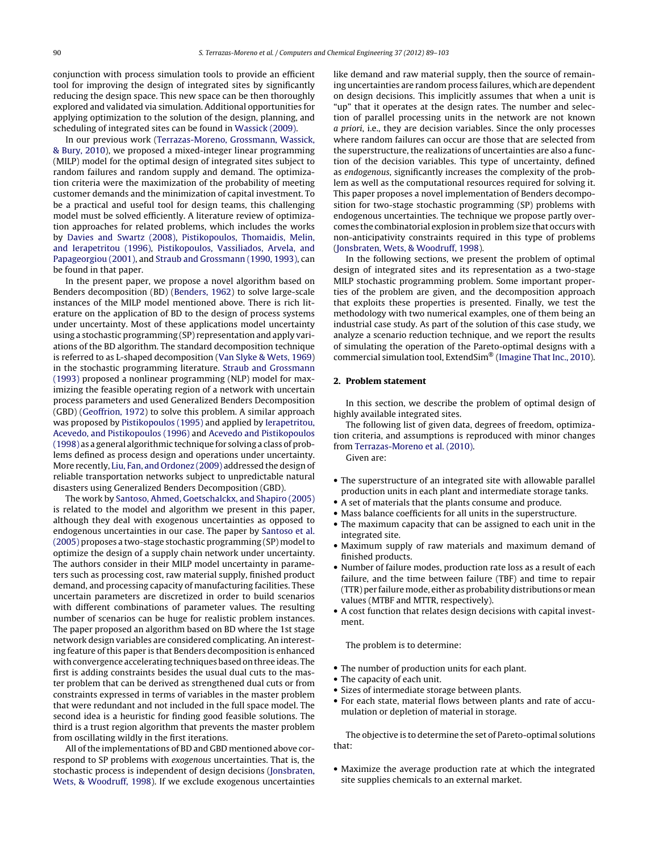conjunction with process simulation tools to provide an efficient tool for improving the design of integrated sites by significantly reducing the design space. This new space can be then thoroughly explored and validated via simulation. Additional opportunities for applying optimization to the solution of the design, planning, and scheduling of integrated sites can be found in Wassick (2009).

In our previous work (Terrazas-Moreno, Grossmann, Wassick, & Bury, 2010), we proposed a mixed-integer linear programming (MILP) model for the optimal design of integrated sites subject to random failures and random supply and demand. The optimization criteria were the maximization of the probability of meeting customer demands and the minimization of capital investment. To be a practical and useful tool for design teams, this challenging model must be solved efficiently. A literature review of optimization approaches for related problems, which includes the works by Davies and Swartz (2008), Pistikopoulos, Thomaidis, Melin, and Ierapetritou (1996), Pistikopoulos, Vassiliados, Arvela, and Papageorgiou (2001), and Straub and Grossmann (1990, 1993), can be found in that paper.

In the present paper, we propose a novel algorithm based on Benders decomposition (BD) (Benders, 1962) to solve large-scale instances of the MILP model mentioned above. There is rich literature on the application of BD to the design of process systems under uncertainty. Most of these applications model uncertainty using a stochastic programming (SP) representation and apply variations of the BD algorithm. The standard decomposition technique is referred to as L-shaped decomposition (Van Slyke & Wets, 1969) in the stochastic programming literature. Straub and Grossmann (1993) proposed a nonlinear programming (NLP) model for maximizing the feasible operating region of a network with uncertain process parameters and used Generalized Benders Decomposition (GBD) (Geoffrion, 1972) to solve this problem. A similar approach was proposed by Pistikopoulos (1995) and applied by Ierapetritou, Acevedo, and Pistikopoulos (1996) and Acevedo and Pistikopoulos (1998) as a general algorithmic technique for solving a class of problems defined as process design and operations under uncertainty. More recently, Liu, Fan, and Ordonez (2009) addressed the design of reliable transportation networks subject to unpredictable natural disasters using Generalized Benders Decomposition (GBD).

The work by Santoso, Ahmed, Goetschalckx, and Shapiro (2005) is related to the model and algorithm we present in this paper, although they deal with exogenous uncertainties as opposed to endogenous uncertainties in our case. The paper by Santoso et al. (2005) proposes a two-stage stochastic programming (SP) model to optimize the design of a supply chain network under uncertainty. The authors consider in their MILP model uncertainty in parameters such as processing cost, raw material supply, finished product demand, and processing capacity of manufacturing facilities. These uncertain parameters are discretized in order to build scenarios with different combinations of parameter values. The resulting number of scenarios can be huge for realistic problem instances. The paper proposed an algorithm based on BD where the 1st stage network design variables are considered complicating. An interesting feature of this paper is that Benders decomposition is enhanced with convergence accelerating techniques based on three ideas. The first is adding constraints besides the usual dual cuts to the master problem that can be derived as strengthened dual cuts or from constraints expressed in terms of variables in the master problem that were redundant and not included in the full space model. The second idea is a heuristic for finding good feasible solutions. The third is a trust region algorithm that prevents the master problem from oscillating wildly in the first iterations.

All of the implementations of BD and GBD mentioned above correspond to SP problems with exogenous uncertainties. That is, the stochastic process is independent of design decisions (Jonsbraten, Wets, & Woodruff, 1998). If we exclude exogenous uncertainties like demand and raw material supply, then the source of remaining uncertainties are random process failures, which are dependent on design decisions. This implicitly assumes that when a unit is "up" that it operates at the design rates. The number and selection of parallel processing units in the network are not known a priori, i.e., they are decision variables. Since the only processes where random failures can occur are those that are selected from the superstructure, the realizations of uncertainties are also a function of the decision variables. This type of uncertainty, defined as endogenous, significantly increases the complexity of the problem as well as the computational resources required for solving it. This paper proposes a novel implementation of Benders decomposition for two-stage stochastic programming (SP) problems with endogenous uncertainties. The technique we propose partly overcomes the combinatorial explosion in problem size that occurs with non-anticipativity constraints required in this type of problems (Jonsbraten, Wets, & Woodruff, 1998).

In the following sections, we present the problem of optimal design of integrated sites and its representation as a two-stage MILP stochastic programming problem. Some important properties of the problem are given, and the decomposition approach that exploits these properties is presented. Finally, we test the methodology with two numerical examples, one of them being an industrial case study. As part of the solution of this case study, we analyze a scenario reduction technique, and we report the results of simulating the operation of the Pareto-optimal designs with a commercial simulation tool, ExtendSim® (Imagine That Inc., 2010).

#### 2. Problem statement

In this section, we describe the problem of optimal design of highly available integrated sites.

The following list of given data, degrees of freedom, optimization criteria, and assumptions is reproduced with minor changes from Terrazas-Moreno et al. (2010).

Given are:

- The superstructure of an integrated site with allowable parallel production units in each plant and intermediate storage tanks.
- A set of materials that the plants consume and produce.
- Mass balance coefficients for all units in the superstructure.
- The maximum capacity that can be assigned to each unit in the integrated site.
- Maximum supply of raw materials and maximum demand of finished products.
- Number of failure modes, production rate loss as a result of each failure, and the time between failure (TBF) and time to repair (TTR) per failure mode, either as probability distributions or mean values (MTBF and MTTR, respectively).
- A cost function that relates design decisions with capital investment.

The problem is to determine:

- The number of production units for each plant.
- The capacity of each unit.
- Sizes of intermediate storage between plants.
- For each state, material flows between plants and rate of accumulation or depletion of material in storage.

The objective is to determine the set of Pareto-optimal solutions that:

• Maximize the average production rate at which the integrated site supplies chemicals to an external market.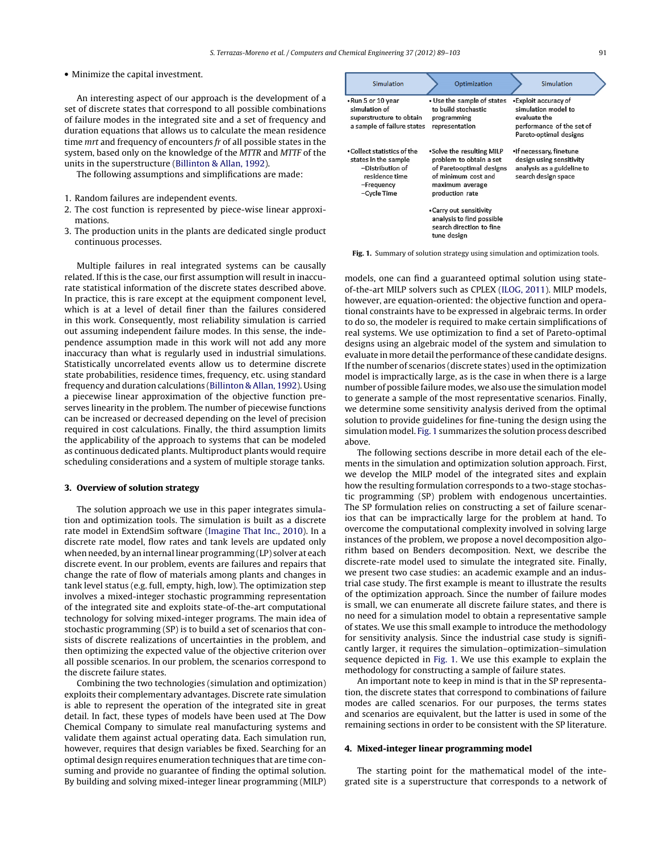## • Minimize the capital investment.

An interesting aspect of our approach is the development of a set of discrete states that correspond to all possible combinations of failure modes in the integrated site and a set of frequency and duration equations that allows us to calculate the mean residence time mrt and frequency of encounters fr of all possible states in the system, based only on the knowledge of the MTTR and MTTF of the units in the superstructure (Billinton & Allan, 1992).

The following assumptions and simplifications are made:

- 1. Random failures are independent events.
- 2. The cost function is represented by piece-wise linear approximations.
- 3. The production units in the plants are dedicated single product continuous processes.

Multiple failures in real integrated systems can be causally related. If this is the case, our first assumption will result in inaccurate statistical information of the discrete states described above. In practice, this is rare except at the equipment component level, which is at a level of detail finer than the failures considered in this work. Consequently, most reliability simulation is carried out assuming independent failure modes. In this sense, the independence assumption made in this work will not add any more inaccuracy than what is regularly used in industrial simulations. Statistically uncorrelated events allow us to determine discrete state probabilities, residence times, frequency, etc. using standard frequency and duration calculations (Billinton & Allan, 1992). Using a piecewise linear approximation of the objective function preserves linearity in the problem. The number of piecewise functions can be increased or decreased depending on the level of precision required in cost calculations. Finally, the third assumption limits the applicability of the approach to systems that can be modeled as continuous dedicated plants. Multiproduct plants would require scheduling considerations and a system of multiple storage tanks.

#### 3. Overview of solution strategy

The solution approach we use in this paper integrates simulation and optimization tools. The simulation is built as a discrete rate model in ExtendSim software (Imagine That Inc., 2010). In a discrete rate model, flow rates and tank levels are updated only when needed, by an internal linear programming (LP) solver at each discrete event. In our problem, events are failures and repairs that change the rate of flow of materials among plants and changes in tank level status (e.g. full, empty, high, low). The optimization step involves a mixed-integer stochastic programming representation of the integrated site and exploits state-of-the-art computational technology for solving mixed-integer programs. The main idea of stochastic programming (SP) is to build a set of scenarios that consists of discrete realizations of uncertainties in the problem, and then optimizing the expected value of the objective criterion over all possible scenarios. In our problem, the scenarios correspond to the discrete failure states.

Combining the two technologies (simulation and optimization) exploits their complementary advantages. Discrete rate simulation is able to represent the operation of the integrated site in great detail. In fact, these types of models have been used at The Dow Chemical Company to simulate real manufacturing systems and validate them against actual operating data. Each simulation run, however, requires that design variables be fixed. Searching for an optimal design requires enumeration techniques that are time consuming and provide no guarantee of finding the optimal solution. By building and solving mixed-integer linear programming (MILP)

| Simulation                                                                                                            | Optimization                                                                                                                                   | <b>Simulation</b>                                                                                                  |
|-----------------------------------------------------------------------------------------------------------------------|------------------------------------------------------------------------------------------------------------------------------------------------|--------------------------------------------------------------------------------------------------------------------|
| •Run 5 or 10 year<br>simulation of<br>superstructure to obtain<br>a sample of failure states                          | . Use the sample of states<br>to build stochastic<br>programming<br>representation                                                             | •Exploit accuracy of<br>simulation model to<br>evaluate the<br>performance of the set of<br>Pareto-optimal designs |
| •Collect statistics of the<br>states in the sample<br>-Distribution of<br>residence time<br>-Frequency<br>-Cycle Time | . Solve the resulting MILP<br>problem to obtain a set<br>of Paretooptimal designs<br>of minimum cost and<br>maximum average<br>production rate | .If necessary, finetune<br>design using sensitivity<br>analysis as a guideline to<br>search design space           |
|                                                                                                                       | • Carry out sensitivity<br>analysis to find possible<br>search direction to fine<br>tune design                                                |                                                                                                                    |

Fig. 1. Summary of solution strategy using simulation and optimization tools.

models, one can find a guaranteed optimal solution using stateof-the-art MILP solvers such as CPLEX (ILOG, 2011). MILP models, however, are equation-oriented: the objective function and operational constraints have to be expressed in algebraic terms. In order to do so, the modeler is required to make certain simplifications of real systems. We use optimization to find a set of Pareto-optimal designs using an algebraic model of the system and simulation to evaluate in more detail the performance of these candidate designs. If the number of scenarios (discrete states) used in the optimization model is impractically large, as is the case in when there is a large number of possible failure modes, we also use the simulation model to generate a sample of the most representative scenarios. Finally, we determine some sensitivity analysis derived from the optimal solution to provide guidelines for fine-tuning the design using the simulation model. Fig. 1 summarizes the solution process described above.

The following sections describe in more detail each of the elements in the simulation and optimization solution approach. First, we develop the MILP model of the integrated sites and explain how the resulting formulation corresponds to a two-stage stochastic programming (SP) problem with endogenous uncertainties. The SP formulation relies on constructing a set of failure scenarios that can be impractically large for the problem at hand. To overcome the computational complexity involved in solving large instances of the problem, we propose a novel decomposition algorithm based on Benders decomposition. Next, we describe the discrete-rate model used to simulate the integrated site. Finally, we present two case studies: an academic example and an industrial case study. The first example is meant to illustrate the results of the optimization approach. Since the number of failure modes is small, we can enumerate all discrete failure states, and there is no need for a simulation model to obtain a representative sample of states. We use this small example to introduce the methodology for sensitivity analysis. Since the industrial case study is significantly larger, it requires the simulation–optimization–simulation sequence depicted in Fig. 1. We use this example to explain the methodology for constructing a sample of failure states.

An important note to keep in mind is that in the SP representation, the discrete states that correspond to combinations of failure modes are called scenarios. For our purposes, the terms states and scenarios are equivalent, but the latter is used in some of the remaining sections in order to be consistent with the SP literature.

#### 4. Mixed-integer linear programming model

The starting point for the mathematical model of the integrated site is a superstructure that corresponds to a network of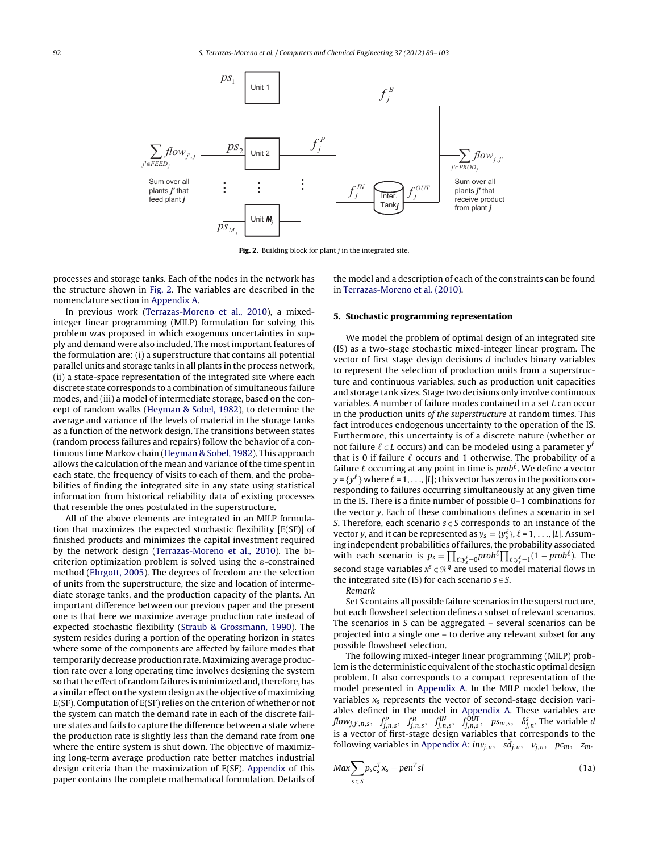

Fig. 2. Building block for plant  $j$  in the integrated site.

processes and storage tanks. Each of the nodes in the network has the structure shown in Fig. 2. The variables are described in the nomenclature section in Appendix A.

In previous work (Terrazas-Moreno et al., 2010), a mixedinteger linear programming (MILP) formulation for solving this problem was proposed in which exogenous uncertainties in supply and demand were also included. The most important features of the formulation are: (i) a superstructure that contains all potential parallel units and storage tanks in all plants in the process network, (ii) a state-space representation of the integrated site where each discrete state corresponds to a combination of simultaneous failure modes, and (iii) a model of intermediate storage, based on the concept of random walks (Heyman & Sobel, 1982), to determine the average and variance of the levels of material in the storage tanks as a function of the network design. The transitions between states (random process failures and repairs) follow the behavior of a continuous time Markov chain (Heyman & Sobel, 1982). This approach allows the calculation of the mean and variance of the time spent in each state, the frequency of visits to each of them, and the probabilities of finding the integrated site in any state using statistical information from historical reliability data of existing processes that resemble the ones postulated in the superstructure.

All of the above elements are integrated in an MILP formulation that maximizes the expected stochastic flexibility [E(SF)] of finished products and minimizes the capital investment required by the network design (Terrazas-Moreno et al., 2010). The bicriterion optimization problem is solved using the  $\varepsilon$ -constrained method (Ehrgott, 2005). The degrees of freedom are the selection of units from the superstructure, the size and location of intermediate storage tanks, and the production capacity of the plants. An important difference between our previous paper and the present one is that here we maximize average production rate instead of expected stochastic flexibility (Straub & Grossmann, 1990). The system resides during a portion of the operating horizon in states where some of the components are affected by failure modes that temporarily decrease production rate. Maximizing average production rate over a long operating time involves designing the system so that the effect of random failures is minimized and, therefore, has a similar effect on the system design as the objective of maximizing E(SF). Computation of E(SF) relies on the criterion of whether or not the system can match the demand rate in each of the discrete failure states and fails to capture the difference between a state where the production rate is slightly less than the demand rate from one where the entire system is shut down. The objective of maximizing long-term average production rate better matches industrial design criteria than the maximization of E(SF). Appendix of this paper contains the complete mathematical formulation. Details of the model and a description of each of the constraints can be found in Terrazas-Moreno et al. (2010).

#### 5. Stochastic programming representation

We model the problem of optimal design of an integrated site (IS) as a two-stage stochastic mixed-integer linear program. The vector of first stage design decisions d includes binary variables to represent the selection of production units from a superstructure and continuous variables, such as production unit capacities and storage tank sizes. Stage two decisions only involve continuous variables. A number of failure modes contained in a set L can occur in the production units of the superstructure at random times. This fact introduces endogenous uncertainty to the operation of the IS. Furthermore, this uncertainty is of a discrete nature (whether or not failure  $\ell \in L$  occurs) and can be modeled using a parameter  $y^{\ell}$ that is 0 if failure  $\ell$  occurs and 1 otherwise. The probability of a failure  $\ell$  occurring at any point in time is prob $\ell$ . We define a vector  $y = {y<sup>\ell</sup>}$  where  $\ell = 1, \ldots, |L|$ ; this vector has zeros in the positions corresponding to failures occurring simultaneously at any given time in the IS. There is a finite number of possible 0–1 combinations for the vector y. Each of these combinations defines a scenario in set S. Therefore, each scenario  $s \in S$  corresponds to an instance of the vector y, and it can be represented as  $y_s = \{y_s^{\ell}\}, \ell = 1, \ldots, |L|$ . Assuming independent probabilities of failures, the probability associated with each scenario is  $p_s = \prod_{\ell: y_s^{\ell} = 0} prob^{\ell} \prod_{\ell: y_{s}^{\ell} = 1} (1 - prob^{\ell}).$  The second stage variables  $x^s \in \Re^q$  are used to model material flows in the integrated site (IS) for each scenario  $s \in S$ .

Remark

Set S contains all possible failure scenarios in the superstructure, but each flowsheet selection defines a subset of relevant scenarios. The scenarios in S can be aggregated – several scenarios can be projected into a single one – to derive any relevant subset for any possible flowsheet selection.

The following mixed-integer linear programming (MILP) problem is the deterministic equivalent of the stochastic optimal design problem. It also corresponds to a compact representation of the model presented in Appendix A. In the MILP model below, the variables  $x_s$  represents the vector of second-stage decision variables defined in the model in Appendix A. These variables are flow<sub>j,j',n,s</sub>,  $f_{j,n,s}^P, f_{j,n,s}^B, f_{j,n,s}^{IN}, f_{j,n,s}^{OUT}, ps_{m,s}, \delta_{j,n}^s$ . The variable d is a vector of first-stage design variables that corresponds to the following variables in Appendix A:  $\overline{inv}_{j,n}$ ,  $\overline{s}_j$ ,  $\overline{v}_{j,n}$ ,  $\overline{v}_{j,n}$ ,  $\overline{p}_{m}$ ,  $\overline{z}_m$ .

$$
Max \sum_{s \in S} p_s c_s^T x_s - pen^T s l \tag{1a}
$$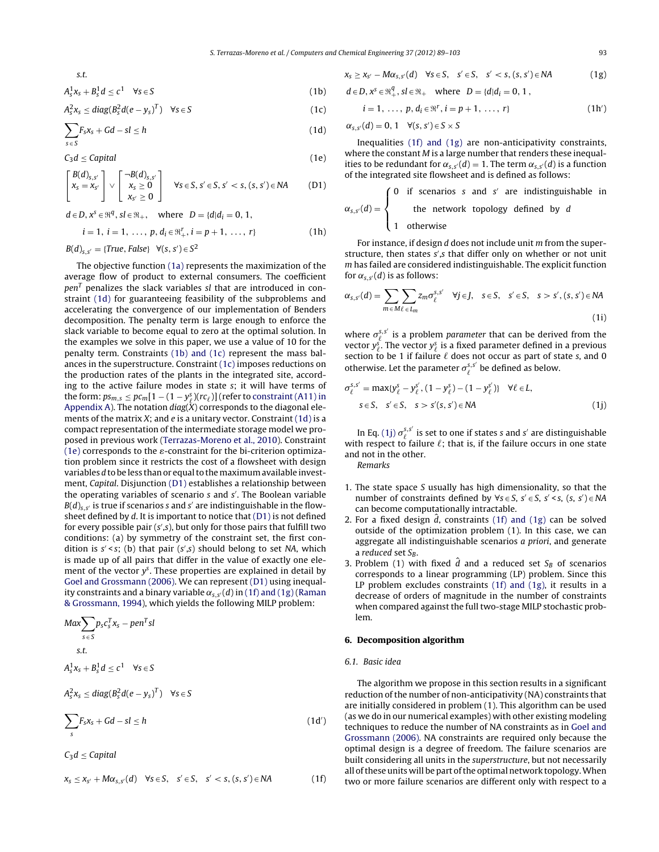s.t.

$$
A_s^1 x_s + B_s^1 d \le c^1 \quad \forall s \in S \tag{1b}
$$

$$
A_s^2 x_s \leq diag(B_s^2 d(e - y_s)^T) \quad \forall s \in S
$$
 (1c)

$$
\sum_{s \in S} F_s x_s + Gd - sl \le h \tag{1d}
$$

$$
C_3d \leq Capital \tag{1e}
$$

$$
\begin{bmatrix} B(d)_{s,s'} \\ x_s = x_{s'} \end{bmatrix} \vee \begin{bmatrix} \neg B(d)_{s,s'} \\ x_s \ge 0 \\ x_{s'} \ge 0 \end{bmatrix} \quad \forall s \in S, s' \in S, s' < s, (s,s') \in NA \tag{D1}
$$

 $d \in D$ ,  $x^s \in \mathbb{R}^q$ ,  $sl \in \mathbb{R}_+$ , where  $D = \{d | d_i = 0, 1, \}$ 

$$
i = 1, i = 1, \ldots, p, d_i \in \mathbb{R}_+^r, i = p + 1, \ldots, r
$$
 (1h)

 $B(d)_{s,s'} = \{True, False\} \quad \forall (s,s') \in S^2$ 

The objective function (1a) represents the maximization of the average flow of product to external consumers. The coefficient  $pen<sup>T</sup>$  penalizes the slack variables sl that are introduced in constraint (1d) for guaranteeing feasibility of the subproblems and accelerating the convergence of our implementation of Benders decomposition. The penalty term is large enough to enforce the slack variable to become equal to zero at the optimal solution. In the examples we solve in this paper, we use a value of 10 for the penalty term. Constraints (1b) and (1c) represent the mass balances in the superstructure. Constraint (1c) imposes reductions on the production rates of the plants in the integrated site, according to the active failure modes in state s; it will have terms of the form:  $ps_{m,s} \le pc_m[1-(1-y_\ell^s)(rc_\ell)]$  (refer to constraint (A11) in Appendix A). The notation  $diag(X)$  corresponds to the diagonal elements of the matrix  $X$ ; and  $e$  is a unitary vector. Constraint  $(1d)$  is a compact representation of the intermediate storage model we proposed in previous work (Terrazas-Moreno et al., 2010). Constraint (1e) corresponds to the  $\varepsilon$ -constraint for the bi-criterion optimization problem since it restricts the cost of a flowsheet with design variables  $d$  to be less than or equal to the maximum available investment, Capital. Disjunction (D1) establishes a relationship between the operating variables of scenario s and s′ . The Boolean variable  $B(d)_{s,s'}$  is true if scenarios s and s' are indistinguishable in the flowsheet defined by  $d$ . It is important to notice that  $(D1)$  is not defined for every possible pair  $(s',s)$ , but only for those pairs that fulfill two conditions: (a) by symmetry of the constraint set, the first condition is  $s' < s$ ; (b) that pair  $(s', s)$  should belong to set NA, which is made up of all pairs that differ in the value of exactly one element of the vector  $y^s$ . These properties are explained in detail by Goel and Grossmann (2006). We can represent (D1) using inequality constraints and a binary variable  $\alpha_{s,s'}(d)$  in (1f) and (1g) (Raman & Grossmann, 1994), which yields the following MILP problem:

$$
Max \sum_{s \in S} p_s c_s^T x_s - pen^T sl
$$
  
s.t.  

$$
A_s^1 x_s + B_s^1 d \le c^1 \quad \forall s \in S
$$

$$
A_s^2x_s \leq diag(B_s^2d(e-y_s)^T) \quad \forall s \in S
$$

$$
\sum_{s} F_{s}x_{s} + Gd - sl \leq h \tag{1d'}
$$

 $C_3d \leq$  Capital

$$
x_s \leq x_{s'} + M\alpha_{s,s'}(d) \quad \forall s \in S, \quad s' \in S, \quad s' < s, (s,s') \in NA \tag{1f}
$$

$$
x_s \ge x_{s'} - M\alpha_{s,s'}(d) \quad \forall s \in S, \quad s' \in S, \quad s' < s, (s,s') \in NA \tag{1g}
$$

$$
d \in D, x^s \in \mathfrak{R}^q_+, sl \in \mathfrak{R}_+ \quad \text{where} \quad D = \{d | d_i = 0, 1\},
$$

$$
i = 1, \ldots, p, d_i \in \mathfrak{R}^r, i = p + 1, \ldots, r \}
$$
 (1h')

$$
\alpha_{s,s'}(d) = 0, 1 \quad \forall (s,s') \in S \times S
$$

Inequalities (1f) and (1g) are non-anticipativity constraints, where the constant  $M$  is a large number that renders these inequalities to be redundant for  $\alpha_{s,s'}(d) = 1$ . The term  $\alpha_{s,s'}(d)$  is a function of the integrated site flowsheet and is defined as follows:

$$
\alpha_{s,s'}(d) = \begin{cases} 0 & \text{if scenarios } s \text{ and } s' \text{ are indistinguishable in} \\ & \text{the network topology defined by } d \\ 1 & \text{otherwise} \end{cases}
$$

For instance, if design  $d$  does not include unit  $m$  from the superstructure, then states s',s that differ only on whether or not unit  $m$  has failed are considered indistinguishable. The explicit function for  $\alpha_{s,s'}(d)$  is as follows:

$$
\alpha_{s,s'}(d) = \sum_{m \in M} \sum_{\ell \in L_m} z_m \sigma_{\ell}^{s,s'} \quad \forall j \in J, \quad s \in S, \quad s' \in S, \quad s > s', (s,s') \in NA
$$
\n(1i)

where  $\sigma_{\ell}^{s,s'}$  is a problem *parameter* that can be derived from the vector  $y_{\ell}^s$ . The vector  $y_{\ell}^s$  is a fixed parameter defined in a previous section to be 1 if failure  $\ell$  does not occur as part of state s, and 0 otherwise. Let the parameter  $\sigma_\ell^{s,s'}$  be defined as below.

$$
\sigma_{\ell}^{s,s'} = \max \{ y_{\ell}^{s} - y_{\ell}^{s'}, (1 - y_{\ell}^{s}) - (1 - y_{\ell}^{s'}) \} \quad \forall \ell \in L, s \in S, \quad s' \in S, \quad s > s'(s, s') \in \mathsf{NA}
$$
 (1j)

In Eq. (1j)  $\sigma_{\ell}^{s,s'}$  is set to one if states s and s' are distinguishable with respect to failure  $\ell$ ; that is, if the failure occurs in one state and not in the other.

Remarks

- 1. The state space S usually has high dimensionality, so that the number of constraints defined by  $\forall s \in S$ ,  $s' \in S$ ,  $s' \leq s$ ,  $(s, s') \in NA$ can become computationally intractable.
- 2. For a fixed design  $\hat{d}$ , constraints (1f) and (1g) can be solved outside of the optimization problem (1). In this case, we can aggregate all indistinguishable scenarios a priori, and generate a reduced set  $S_B$ .
- 3. Problem (1) with fixed  $\hat{d}$  and a reduced set S<sub>B</sub> of scenarios corresponds to a linear programming (LP) problem. Since this LP problem excludes constraints (1f) and (1g), it results in a decrease of orders of magnitude in the number of constraints when compared against the full two-stage MILP stochastic problem.

## 6. Decomposition algorithm

#### 6.1. Basic idea

The algorithm we propose in this section results in a significant reduction of the number of non-anticipativity (NA) constraints that are initially considered in problem (1). This algorithm can be used (as we do in our numerical examples) with other existing modeling techniques to reduce the number of NA constraints as in Goel and Grossmann (2006). NA constraints are required only because the optimal design is a degree of freedom. The failure scenarios are built considering all units in the superstructure, but not necessarily all of these units will be part of the optimal network topology. When two or more failure scenarios are different only with respect to a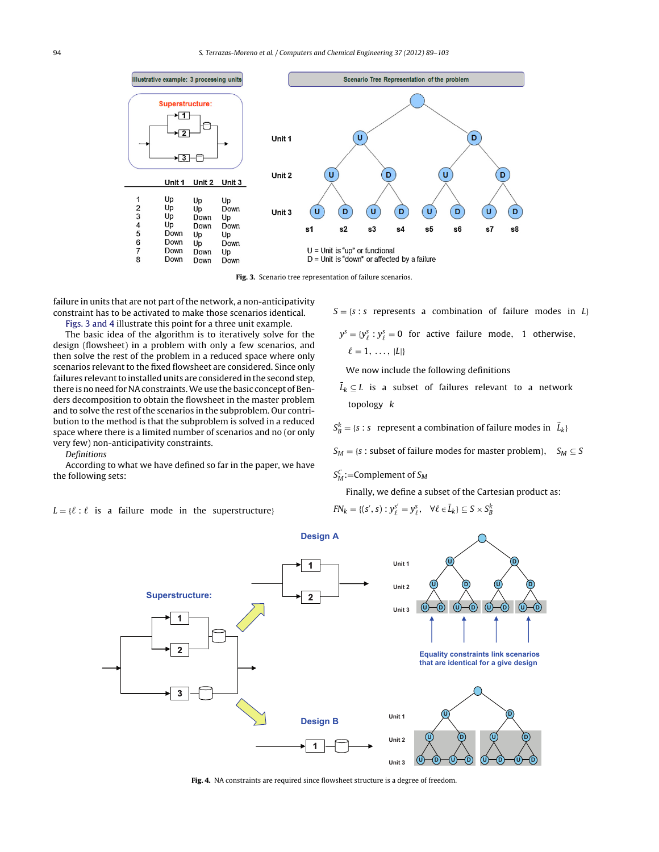

Fig. 3. Scenario tree representation of failure scenarios.

failure in units that are not part of the network, a non-anticipativity constraint has to be activated to make those scenarios identical. Figs. 3 and 4 illustrate this point for a three unit example.

The basic idea of the algorithm is to iteratively solve for the design (flowsheet) in a problem with only a few scenarios, and then solve the rest of the problem in a reduced space where only scenarios relevant to the fixed flowsheet are considered. Since only failures relevant to installed units are considered in the second step, there is no need for NAconstraints.We use the basic concept of Benders decomposition to obtain the flowsheet in the master problem and to solve the rest of the scenarios in the subproblem. Our contribution to the method is that the subproblem is solved in a reduced space where there is a limited number of scenarios and no (or only very few) non-anticipativity constraints.

Definitions

According to what we have defined so far in the paper, we have the following sets:

 $L = \{ \ell : \ell \text{ is a failure mode in the superstructure} \}$ 

 $S = \{s : s \text{ represents a combination of failure modes in } L\}$ 

 $y^s = {y^s_\ell : y^s_\ell = 0}$  for active failure mode, 1 otherwise,  $\ell = 1, \ldots, |L|$ 

We now include the following definitions

 $\bar{L}_k \subseteq L$  is a subset of failures relevant to a network topology k

 $S_B^k = \{s : s$  represent a combination of failure modes in  $\vec{L}_k\}$ 

 $S_M = \{s : \text{subset of failure modes for master problem}\}, S_M \subseteq S$ 

 $S_{M}^{C}$ :=Complement of  $S_{M}$ 

Finally, we define a subset of the Cartesian product as:

$$
FN_k = \{(s', s) : y_\ell^{s'} = y_\ell^s, \quad \forall \ell \in \bar{L}_k\} \subseteq S \times S_B^k
$$



Fig. 4. NA constraints are required since flowsheet structure is a degree of freedom.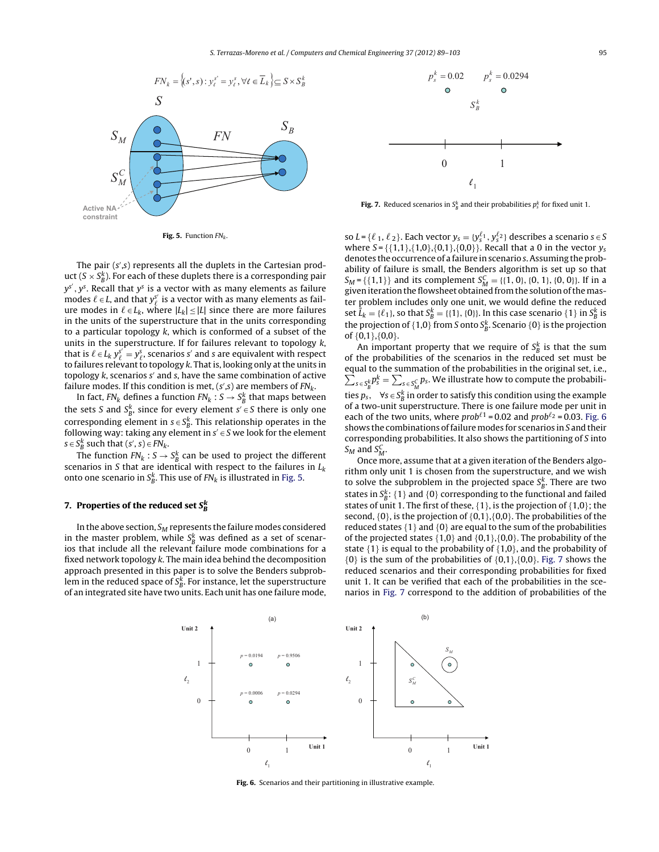

Fig. 5. Function  $FN_k$ .

The pair (s',s) represents all the duplets in the Cartesian product (S  $\times$  Sg). For each of these duplets there is a corresponding pair  $y^{s'}, y^s.$  Recall that  $y^s$  is a vector with as many elements as failure modes  $\ell \in L$ , and that  $y_{\ell}^{s'}$  is a vector with as many elements as failure modes in  $\ell \in L_k$ , where  $|L_k| \leq |L|$  since there are more failures in the units of the superstructure that in the units corresponding to a particular topology k, which is conformed of a subset of the units in the superstructure. If for failures relevant to topology k, that is  $\ell \in L_k$   $y_{\ell}^{s'} = y_{\ell}^{s}$ , scenarios s' and s are equivalent with respect to failures relevant to topology k. That is, looking only at the units in topology  $k$ , scenarios  $s'$  and  $s$ , have the same combination of active failure modes. If this condition is met, (s',s) are members of FN<sub>k</sub>.

In fact,  $\mathit{FN}_k$  defines a function  $\mathit{FN}_k : S \rightarrow S^k_B$  that maps between the sets S and  $S_B^k$ , since for every element  $s' \in S$  there is only one corresponding element in  $s \in S_B^k$ . This relationship operates in the following way: taking any element in  $s' \in S$  we look for the element  $s \in S_B^k$  such that  $(s', s) \in FN_k$ .

The function  $FN_k : S \rightarrow S_B^k$  can be used to project the different scenarios in S that are identical with respect to the failures in  $L_k$ onto one scenario in  $S^k_B$ . This use of  $\mathit{FN}_k$  is illustrated in Fig. 5.

## 7. Properties of the reduced set  $S^k_{\!B}$

In the above section,  $S_M$  represents the failure modes considered in the master problem, while  $S_B^k$  was defined as a set of scenarios that include all the relevant failure mode combinations for a fixed network topology k. The main idea behind the decomposition approach presented in this paper is to solve the Benders subproblem in the reduced space of  $S_B^k$ . For instance, let the superstructure of an integrated site have two units. Each unit has one failure mode,



**Fig. 7.** Reduced scenarios in  $S^k_B$  and their probabilities  $p^k_s$  for fixed unit 1.

so  $L = \{\ell_1, \ell_2\}$ . Each vector  $y_s = \{y_s^{\ell_1}, y_s^{\ell_2}\}$  describes a scenario  $s \in S$ where S = *{{*1,1*}*,*{*1,0*}*,*{*0,1*}*,*{*0,0*}}*. Recall that a 0 in the vector ys denotes the occurrence of a failure in scenario s.Assuming the probability of failure is small, the Benders algorithm is set up so that  $S_M = \{\{1,1\}\}\$ and its complement  $S_M^C = \{\{1, 0\}, \{0, 1\}, \{0, 0\}\}\$ . If in a given iteration the flowsheet obtained from the solution ofthe master problem includes only one unit, we would define the reduced set  $\bar{L}_k = \{\ell_1\}$ , so that  $S_B^k = \{\{1\}, \{0\}\}$ . In this case scenario  $\{1\}$  in  $S_B^k$  is the projection of  $\{1,0\}$  from S onto  $S^k_B$ . Scenario  $\{0\}$  is the projection of *{*0,1*}*,*{*0,0*}*.

An important property that we require of  $S^k_B$  is that the sum of the probabilities of the scenarios in the reduced set must be  $\sum_{s \, \in \, S_{B}^{k}} p_{s}^{k} = \sum_{s \, \in \, S_{M}^{C}} p_{s}.$  We illustrate how to compute the probabiliequal to the summation of the probabilities in the original set, i.e., ties  $p_s$ ,  $\forall s \in S_B^k$  in order to satisfy this condition using the example of a two-unit superstructure. There is one failure mode per unit in each of the two units, where  $prob^{\ell_1} = 0.02$  and  $prob^{\ell_2} = 0.03$ . Fig. 6 shows the combinations offailure modes for scenarios in S and their corresponding probabilities. It also shows the partitioning of S into  $S_M$  and  $S_M^C$ .

Once more, assume that at a given iteration of the Benders algorithm only unit 1 is chosen from the superstructure, and we wish to solve the subproblem in the projected space  $S^k_B$ . There are two states in  $S_B^k$ : {1} and {0} corresponding to the functional and failed states of unit 1. The first of these, *{*1*}*, is the projection of *{*1,0*}*; the second, *{*0*}*, is the projection of *{*0,1*}*,*{*0,0*}*. The probabilities of the reduced states *{*1*}* and *{*0*}* are equal to the sum of the probabilities of the projected states *{*1,0*}* and *{*0,1*}*,*{*0,0*}*. The probability of the state *{*1*}* is equal to the probability of *{*1,0*}*, and the probability of *{*0*}* is the sum of the probabilities of *{*0,1*}*,*{*0,0*}*. Fig. 7 shows the reduced scenarios and their corresponding probabilities for fixed unit 1. It can be verified that each of the probabilities in the scenarios in Fig. 7 correspond to the addition of probabilities of the



Fig. 6. Scenarios and their partitioning in illustrative example.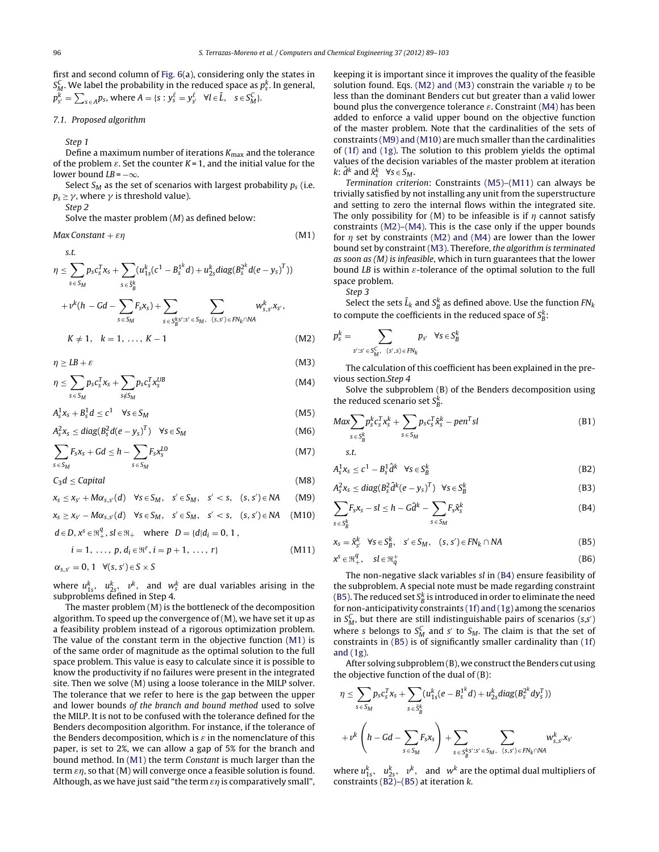first and second column of Fig. 6(a), considering only the states in  $S_{M}^C$ . We label the probability in the reduced space as  $p_s^k$ . In general,  $p_{s'}^{\widetilde{k}} = \sum_{s \in A} p_s$ , where  $A = \{s : y_s^{\ell} = y_{s'}^{\ell} \quad \forall l \in \overline{L}, \quad s \in S_M^C\}.$ 

#### 7.1. Proposed algorithm

Step 1

Define a maximum number of iterations  $K_{\text{max}}$  and the tolerance of the problem  $\varepsilon$ . Set the counter  $K = 1$ , and the initial value for the lower bound  $LB = -\infty$ .

Select  $S_M$  as the set of scenarios with largest probability  $p_s$  (i.e.  $p_s \ge \gamma$ , where  $\gamma$  is threshold value).

Step 2

Solve the master problem  $(M)$  as defined below:

$$
Max Constant + \varepsilon \eta \tag{M1}
$$

s.t.

$$
\eta \leq \sum_{s \in S_M} p_s c_s^T x_s + \sum_{s \in \tilde{S}_B^k} (u_{1s}^k (c^1 - B_s^{1k} d) + u_{2s}^k diag(B_s^{2k} d(e - y_s)^T))
$$

$$
+v^{k}(h-Gd-\sum_{s\in S_M}F_sx_s)+\sum_{s\in S_B^{ks':s'}\in S_M, \ (s,s')\in FN_k\cap NA}w_{s,s'}^{k}x_s,
$$

$$
K \neq 1, \quad k = 1, \dots, K - 1 \tag{M2}
$$

$$
\eta \geq LB + \varepsilon \tag{M3}
$$

$$
\eta \leq \sum_{s \in S_M} p_s c_s^T x_s + \sum_{s \notin S_M} p_s c_s^T x_s^{UB} \tag{M4}
$$

$$
A_s^1 x_s + B_s^1 d \le c^1 \quad \forall s \in S_M \tag{M5}
$$

$$
A_s^2 x_s \leq diag(B_s^2 d(e - y_s)^T) \quad \forall s \in S_M
$$
 (M6)

$$
\sum_{s \in S_M} F_s x_s + Gd \le h - \sum_{s \in S_M} F_s x_s^{L0} \tag{M7}
$$

$$
C_3d \leq Capital \tag{M8}
$$

 $x_s \leq x_{s'} + M\alpha_{s,s'}(d) \quad \forall s \in S_M, \quad s' \in S_M, \quad s' < s, \quad (s,s') \in NA \quad (M9)$ 

$$
x_{s} \geq x_{s'} - M\alpha_{s,s'}(d) \quad \forall s \in S_M, \quad s' \in S_M, \quad s' < s, \quad (s,s') \in NA \quad (M10)
$$

 $d \in D$ ,  $x^s \in \mathfrak{R}_+^q$ ,  $sl \in \mathfrak{R}_+$  where  $D = \{d | d_i = 0, 1, \}$ 

$$
i = 1, \ldots, p, d_i \in \mathfrak{R}^r, i = p + 1, \ldots, r \}
$$
 (M11)

 $\alpha_{s,s'}=0, 1 \quad \forall (s,s') \in S \times S$ 

where  $u_{1s}^k$ ,  $u_{2s}^k$ ,  $v^k$ , and  $w_s^k$  are dual variables arising in the subproblems defined in Step 4.

The master problem (M) is the bottleneck of the decomposition algorithm. To speed up the convergence of (M), we have set it up as a feasibility problem instead of a rigorous optimization problem. The value of the constant term in the objective function (M1) is of the same order of magnitude as the optimal solution to the full space problem. This value is easy to calculate since it is possible to know the productivity if no failures were present in the integrated site. Then we solve (M) using a loose tolerance in the MILP solver. The tolerance that we refer to here is the gap between the upper and lower bounds of the branch and bound method used to solve the MILP. It is not to be confused with the tolerance defined for the Benders decomposition algorithm. For instance, if the tolerance of the Benders decomposition, which is  $\varepsilon$  in the nomenclature of this paper, is set to 2%, we can allow a gap of 5% for the branch and bound method. In (M1) the term Constant is much larger than the term  $\varepsilon \eta$ , so that (M) will converge once a feasible solution is found. Although, as we have just said "the term  $\varepsilon \eta$  is comparatively small",

keeping it is important since it improves the quality of the feasible solution found. Eqs. (M2) and (M3) constrain the variable  $\eta$  to be less than the dominant Benders cut but greater than a valid lower bound plus the convergence tolerance  $\varepsilon$ . Constraint (M4) has been added to enforce a valid upper bound on the objective function of the master problem. Note that the cardinalities of the sets of constraints (M9) and (M10) are much smaller than the cardinalities of (1f) and (1g). The solution to this problem yields the optimal values of the decision variables of the master problem at iteration k:  $\hat{d}^k$  and  $\hat{x}^k_s$   $\forall s \in S_M$ .

Termination criterion: Constraints (M5)–(M11) can always be trivially satisfied by not installing any unit from the superstructure and setting to zero the internal flows within the integrated site. The only possibility for  $(M)$  to be infeasible is if  $\eta$  cannot satisfy constraints (M2)–(M4). This is the case only if the upper bounds for  $\eta$  set by constraints (M2) and (M4) are lower than the lower bound set by constraint (M3). Therefore, the algorithm is terminated as soon as (M) is infeasible, which in turn guarantees that the lower bound LB is within  $\varepsilon$ -tolerance of the optimal solution to the full space problem.

Step 3

Select the sets  $\bar{L}_k$  and  $S^k_B$  as defined above. Use the function  $FN_k$ to compute the coefficients in the reduced space of  $S^k_B$ :

$$
p_s^k = \sum_{s': s' \in S_M^C, \ (s', s) \in FN_k} p_{s'} \ \ \forall s \in S_B^k
$$

The calculation of this coefficient has been explained in the previous section.Step 4

Solve the subproblem (B) of the Benders decomposition using the reduced scenario set  $S_B^k$ .

$$
Max \sum_{S \in S_B^k} p_S^k c_S^T x_S^k + \sum_{S \in S_M} p_S c_S^T \hat{x}_S^k - pen^T sl \tag{B1}
$$

s.t.

$$
A_s^1 x_s \le c^1 - B_s^1 \hat{d}^k \quad \forall s \in S_B^k \tag{B2}
$$

$$
A_s^2 x_s \leq diag(B_s^2 \hat{d}^k (e - y_s)^T) \quad \forall s \in S_B^k
$$
 (B3)

$$
\sum_{s \in S_B^k} F_s x_s - sI \le h - G\hat{d}^k - \sum_{s \in S_M} F_s \hat{x}_s^k \tag{B4}
$$

$$
x_{s} = \hat{x}_{s'}^{k} \quad \forall s \in S_{B}^{k}, \quad s' \in S_{M}, \quad (s, s') \in FN_{k} \cap NA
$$
 (B5)

$$
x^s \in \mathfrak{R}_+^q, \quad sl \in \mathfrak{R}_q^+ \tag{B6}
$$

The non-negative slack variables sl in (B4) ensure feasibility of the subproblem. A special note must be made regarding constraint (B5). The reduced set  $S^k_{B}$  is introduced in order to eliminate the need for non-anticipativity constraints (1f) and (1g) among the scenarios in  $S_M^C$ , but there are still indistinguishable pairs of scenarios (s,s') where s belongs to  $S_{M}^{C}$  and s' to  $S_{M}$ . The claim is that the set of constraints in  $(B5)$  is of significantly smaller cardinality than  $(1f)$ and (1g).

After solving subproblem $(B)$ , we construct the Benders cut using the objective function of the dual of (B):

$$
\begin{aligned}\n\eta &\leq \sum_{s \in S_M} p_s c_s^T x_s + \sum_{s \in \bar{S}_B^k} (u_{1s}^k (e - B_s^{1k} d) + u_{2s}^k \text{diag}(B_s^{2k} dy_s^T)) \\
&+ v^k \left( h - Gd - \sum_{s \in S_M} F_s x_s \right) + \sum_{s \in S_B^k s': s' \in S_M, \ (s, s') \in FN_k \cap N A} w_{s, s'}^k x_{s'}\n\end{aligned}
$$

where  $u_{1s}^k$ ,  $u_{2s}^k$ ,  $v^k$ , and  $w^k$  are the optimal dual multipliers of constraints  $(B\tilde{2})$ –(B5) at iteration k.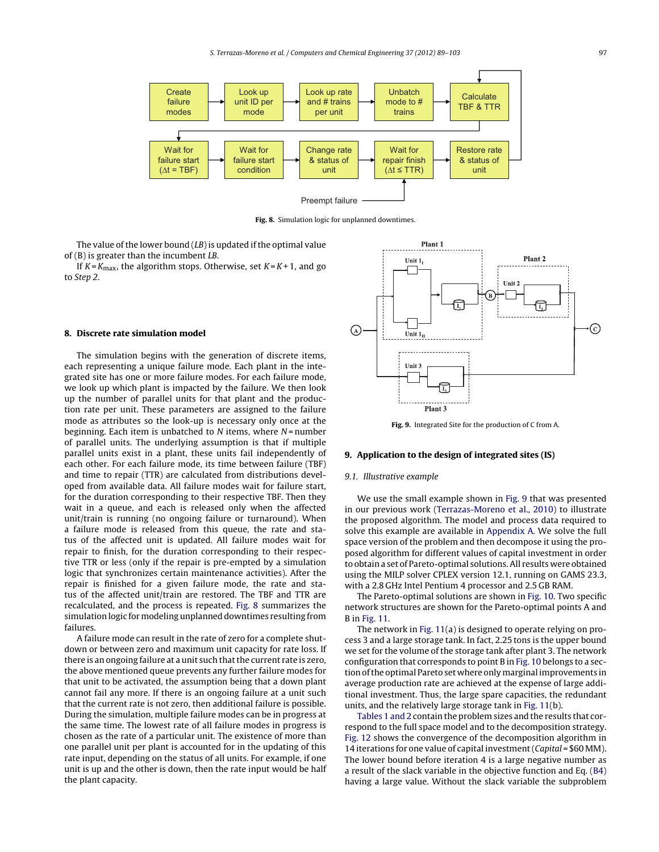

Fig. 8. Simulation logic for unplanned downtimes.

The value of the lower bound  $(LB)$  is updated if the optimal value of (B) is greater than the incumbent LB.

If  $K = K_{\text{max}}$ , the algorithm stops. Otherwise, set  $K = K + 1$ , and go to Step 2.

#### 8. Discrete rate simulation model

The simulation begins with the generation of discrete items, each representing a unique failure mode. Each plant in the integrated site has one or more failure modes. For each failure mode, we look up which plant is impacted by the failure. We then look up the number of parallel units for that plant and the production rate per unit. These parameters are assigned to the failure mode as attributes so the look-up is necessary only once at the beginning. Each item is unbatched to  $N$  items, where  $N =$  number of parallel units. The underlying assumption is that if multiple parallel units exist in a plant, these units fail independently of each other. For each failure mode, its time between failure (TBF) and time to repair (TTR) are calculated from distributions developed from available data. All failure modes wait for failure start, for the duration corresponding to their respective TBF. Then they wait in a queue, and each is released only when the affected unit/train is running (no ongoing failure or turnaround). When a failure mode is released from this queue, the rate and status of the affected unit is updated. All failure modes wait for repair to finish, for the duration corresponding to their respective TTR or less (only if the repair is pre-empted by a simulation logic that synchronizes certain maintenance activities). After the repair is finished for a given failure mode, the rate and status of the affected unit/train are restored. The TBF and TTR are recalculated, and the process is repeated. Fig. 8 summarizes the simulation logic for modeling unplanned downtimes resulting from failures.

A failure mode can result in the rate of zero for a complete shutdown or between zero and maximum unit capacity for rate loss. If there is an ongoing failure at a unit such that the current rate is zero, the above mentioned queue prevents any further failure modes for that unit to be activated, the assumption being that a down plant cannot fail any more. If there is an ongoing failure at a unit such that the current rate is not zero, then additional failure is possible. During the simulation, multiple failure modes can be in progress at the same time. The lowest rate of all failure modes in progress is chosen as the rate of a particular unit. The existence of more than one parallel unit per plant is accounted for in the updating of this rate input, depending on the status of all units. For example, if one unit is up and the other is down, then the rate input would be half the plant capacity.



Fig. 9. Integrated Site for the production of C from A.

## 9. Application to the design of integrated sites (IS)

## 9.1. Illustrative example

We use the small example shown in Fig. 9 that was presented in our previous work (Terrazas-Moreno et al., 2010) to illustrate the proposed algorithm. The model and process data required to solve this example are available in Appendix A. We solve the full space version of the problem and then decompose it using the proposed algorithm for different values of capital investment in order to obtain a set of Pareto-optimal solutions.All results were obtained using the MILP solver CPLEX version 12.1, running on GAMS 23.3, with a 2.8 GHz Intel Pentium 4 processor and 2.5 GB RAM.

The Pareto-optimal solutions are shown in Fig. 10. Two specific network structures are shown for the Pareto-optimal points A and B in Fig. 11.

The network in Fig. 11(a) is designed to operate relying on process 3 and a large storage tank. In fact, 2.25 tons is the upper bound we set for the volume of the storage tank after plant 3. The network configuration that corresponds to point B in Fig. 10 belongs to a section of the optimal Pareto set where only marginal improvements in average production rate are achieved at the expense of large additional investment. Thus, the large spare capacities, the redundant units, and the relatively large storage tank in Fig. 11(b).

Tables 1 and 2 contain the problem sizes and the results that correspond to the full space model and to the decomposition strategy. Fig. 12 shows the convergence of the decomposition algorithm in 14 iterations for one value of capital investment (Capital = \$60 MM). The lower bound before iteration 4 is a large negative number as a result of the slack variable in the objective function and Eq. (B4) having a large value. Without the slack variable the subproblem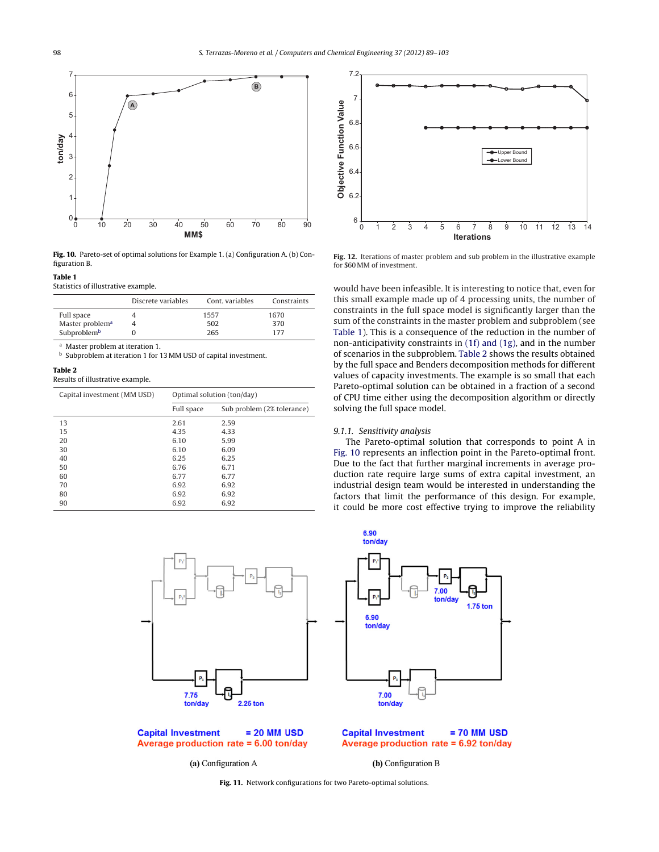

Fig. 10. Pareto-set of optimal solutions for Example 1. (a) Configuration A. (b) Configuration B.

#### Table 1

Statistics of illustrative example.

|                             | Discrete variables | Cont. variables | Constraints |
|-----------------------------|--------------------|-----------------|-------------|
| Full space                  |                    | 1557            | 1670        |
| Master problem <sup>a</sup> |                    | 502             | 370         |
| Subproblemb                 |                    | 265             | 177         |

<sup>a</sup> Master problem at iteration 1.

**b** Subproblem at iteration 1 for 13 MM USD of capital investment.

#### Table 2

Results of illustrative example.

| Capital investment (MM USD) | Optimal solution (ton/day) |                            |
|-----------------------------|----------------------------|----------------------------|
|                             | Full space                 | Sub problem (2% tolerance) |
| 13                          | 2.61                       | 2.59                       |
| 15                          | 4.35                       | 4.33                       |
| 20                          | 6.10                       | 5.99                       |
| 30                          | 6.10                       | 6.09                       |
| 40                          | 6.25                       | 6.25                       |
| 50                          | 6.76                       | 6.71                       |
| 60                          | 6.77                       | 6.77                       |
| 70                          | 6.92                       | 6.92                       |
| 80                          | 6.92                       | 6.92                       |
| 90                          | 6.92                       | 6.92                       |





(a) Configuration A



Fig. 12. Iterations of master problem and sub problem in the illustrative example for \$60 MM of investment.

would have been infeasible. It is interesting to notice that, even for this small example made up of 4 processing units, the number of constraints in the full space model is significantly larger than the sum of the constraints in the master problem and subproblem (see Table 1). This is a consequence of the reduction in the number of non-anticipativity constraints in (1f) and (1g), and in the number of scenarios in the subproblem. Table 2 shows the results obtained by the full space and Benders decomposition methods for different values of capacity investments. The example is so small that each Pareto-optimal solution can be obtained in a fraction of a second of CPU time either using the decomposition algorithm or directly solving the full space model.

## 9.1.1. Sensitivity analysis

The Pareto-optimal solution that corresponds to point A in Fig. 10 represents an inflection point in the Pareto-optimal front. Due to the fact that further marginal increments in average production rate require large sums of extra capital investment, an industrial design team would be interested in understanding the factors that limit the performance of this design. For example, it could be more cost effective trying to improve the reliability



Fig. 11. Network configurations for two Pareto-optimal solutions.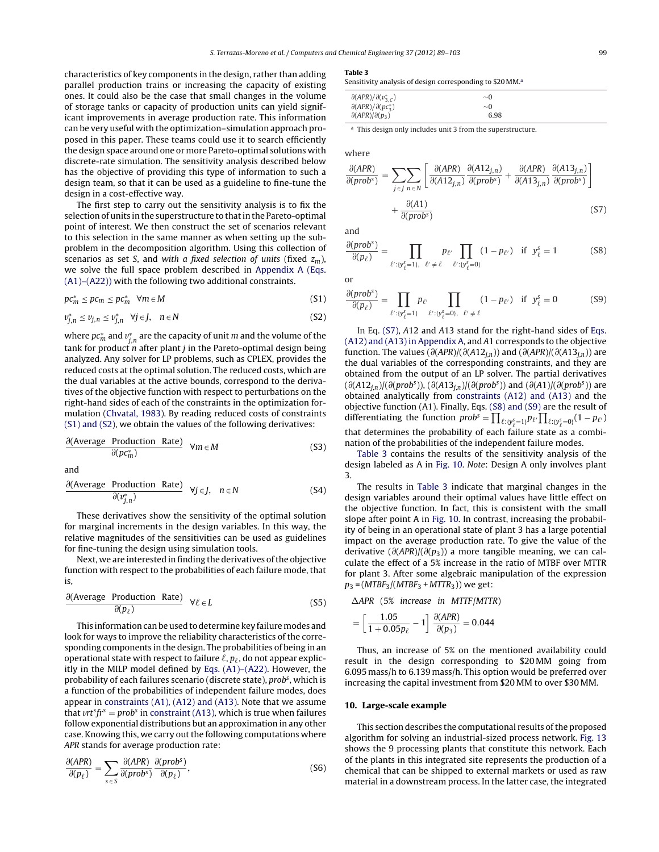characteristics of key components in the design, rather than adding parallel production trains or increasing the capacity of existing ones. It could also be the case that small changes in the volume of storage tanks or capacity of production units can yield significant improvements in average production rate. This information can be very useful with the optimization–simulation approach proposed in this paper. These teams could use it to search efficiently the design space around one or more Pareto-optimal solutions with discrete-rate simulation. The sensitivity analysis described below has the objective of providing this type of information to such a design team, so that it can be used as a guideline to fine-tune the design in a cost-effective way.

The first step to carry out the sensitivity analysis is to fix the selection of units in the superstructure to that in the Pareto-optimal point of interest. We then construct the set of scenarios relevant to this selection in the same manner as when setting up the subproblem in the decomposition algorithm. Using this collection of scenarios as set S, and with a fixed selection of units (fixed  $z_m$ ), we solve the full space problem described in Appendix A (Eqs. (A1)–(A22)) with the following two additional constraints.

$$
pc_m^* \le pc_m \le pc_m^* \quad \forall m \in M \tag{S1}
$$

$$
v_{j,n}^* \le v_{j,n} \le v_{j,n}^* \quad \forall j \in J, \quad n \in N
$$
 (S2)

where  $\mathit{pc}_m^*$  and  $\mathit{v}_{j,n}^*$  are the capacity of unit  $m$  and the volume of the tank for product  $n$  after plant  $j$  in the Pareto-optimal design being analyzed. Any solver for LP problems, such as CPLEX, provides the reduced costs at the optimal solution. The reduced costs, which are the dual variables at the active bounds, correspond to the derivatives of the objective function with respect to perturbations on the right-hand sides of each of the constraints in the optimization formulation (Chvatal, 1983). By reading reduced costs of constraints (S1) and (S2), we obtain the values of the following derivatives:

$$
\frac{\partial(\text{Average Production Rate})}{\partial (pc_m^*)} \quad \forall m \in M \tag{S3}
$$

and

$$
\frac{\partial(\text{Average Production Rate})}{\partial (v_{j,n}^*)} \quad \forall j \in J, \quad n \in N \tag{S4}
$$

These derivatives show the sensitivity of the optimal solution for marginal increments in the design variables. In this way, the relative magnitudes of the sensitivities can be used as guidelines for fine-tuning the design using simulation tools.

Next, we are interested in finding the derivatives of the objective function with respect to the probabilities of each failure mode, that is,

$$
\frac{\partial(\text{Average Production Rate})}{\partial(p_\ell)} \quad \forall \ell \in L \tag{S5}
$$

This information can be used to determine key failure modes and look for ways to improve the reliability characteristics of the corresponding components in the design. The probabilities of being in an operational state with respect to failure  $\ell$ ,  $p_{\ell}$ , do not appear explicitly in the MILP model defined by Eqs. (A1)–(A22). However, the probability of each failures scenario (discrete state),  $prob<sup>s</sup>$ , which is a function of the probabilities of independent failure modes, does appear in constraints (A1), (A12) and (A13). Note that we assume that  $vrt<sup>s</sup>$ fr<sup>s</sup> = prob<sup>s</sup> in constraint (A13), which is true when failures follow exponential distributions but an approximation in any other case. Knowing this, we carry out the following computations where APR stands for average production rate:

$$
\frac{\partial (APR)}{\partial (p_{\ell})} = \sum_{s \in S} \frac{\partial (APR)}{\partial (prob^s)} \frac{\partial (prob^s)}{\partial (p_{\ell})},\tag{S6}
$$

Table 3

Sensitivity analysis of design corresponding to \$20 MM.<sup>a</sup>

| $\partial (APR)/\partial (v_{3c}^*)$ | $\sim$ 0 |  |
|--------------------------------------|----------|--|
| $\partial(APR)/\partial(pc_3^*)$     | $\sim$ 0 |  |
| $\partial (APR)/\partial (p_3)$      | 6.98     |  |

<sup>a</sup> This design only includes unit 3 from the superstructure.

where

$$
\frac{\partial (APR)}{\partial (prob^{S})} = \sum_{j \in J} \sum_{n \in N} \left[ \frac{\partial (APR)}{\partial (A12_{j,n})} \frac{\partial (A12_{j,n})}{\partial (prob^{S})} + \frac{\partial (APR)}{\partial (A13_{j,n})} \frac{\partial (A13_{j,n})}{\partial (prob^{S})} \right] + \frac{\partial (A1)}{\partial (prob^{S})}
$$
(S7)

and

$$
\frac{\partial (prob^s)}{\partial (p_\ell)} = \prod_{\ell': \{y_\ell^s = 1\}, \ \ell' \neq \ell} p_{\ell'} \prod_{\ell': \{y_\ell^s = 0\}} (1 - p_{\ell'}) \ \text{if} \ y_\ell^s = 1 \tag{S8}
$$

or

$$
\frac{\partial (prob^s)}{\partial (p_\ell)} = \prod_{\ell': (y_\ell^s = 1)} p_{\ell'} \prod_{\ell': (y_\ell^s = 0), \ \ell' \neq \ell} (1 - p_{\ell'}) \quad \text{if } y_\ell^s = 0 \tag{S9}
$$

In Eq. (S7), A12 and A13 stand for the right-hand sides of Eqs. (A12) and (A13) in Appendix A, and A1 corresponds to the objective function. The values ( $\partial (APR)/(\partial (A12_{j,n}))$  and ( $\partial (APR)/(\partial (A13_{j,n}))$  are the dual variables of the corresponding constraints, and they are obtained from the output of an LP solver. The partial derivatives  $(\partial (A12_{j,n})/(\partial (prob^s)), (\partial (A13_{j,n})/(\partial (prob^s)))$  and  $(\partial (A1)/(\partial (prob^s)))$  are obtained analytically from constraints (A12) and (A13) and the objective function (A1). Finally, Eqs. (S8) and (S9) are the result of differentiating the function  $prob^s = \prod_{\ell: \{y^s_\ell = 1\}} p_{\ell'} \prod_{\ell: \{y^s_\ell = 0\}} (1 - p_{\ell'})$ that determines the probability of each failure state as a combination of the probabilities of the independent failure modes.

Table 3 contains the results of the sensitivity analysis of the design labeled as A in Fig. 10. Note: Design A only involves plant 3.

The results in Table 3 indicate that marginal changes in the design variables around their optimal values have little effect on the objective function. In fact, this is consistent with the small slope after point A in Fig. 10. In contrast, increasing the probability of being in an operational state of plant 3 has a large potential impact on the average production rate. To give the value of the derivative ( $\partial (APR)/(\partial (p_3))$  a more tangible meaning, we can calculate the effect of a 5% increase in the ratio of MTBF over MTTR for plant 3. After some algebraic manipulation of the expression  $p_3 = (MTBF_3/(MTBF_3 + MTTR_3))$  we get:

## 'APR (5% increase in MTTF/MTTR)

$$
= \left[\frac{1.05}{1+0.05p_{\ell}} - 1\right] \frac{\partial (APR)}{\partial (p_3)} = 0.044
$$

Thus, an increase of 5% on the mentioned availability could result in the design corresponding to \$20 MM going from 6.095 mass/h to 6.139 mass/h. This option would be preferred over increasing the capital investment from \$20 MM to over \$30 MM.

#### 10. Large-scale example

This section describes the computational results of the proposed algorithm for solving an industrial-sized process network. Fig. 13 shows the 9 processing plants that constitute this network. Each of the plants in this integrated site represents the production of a chemical that can be shipped to external markets or used as raw material in a downstream process. In the latter case, the integrated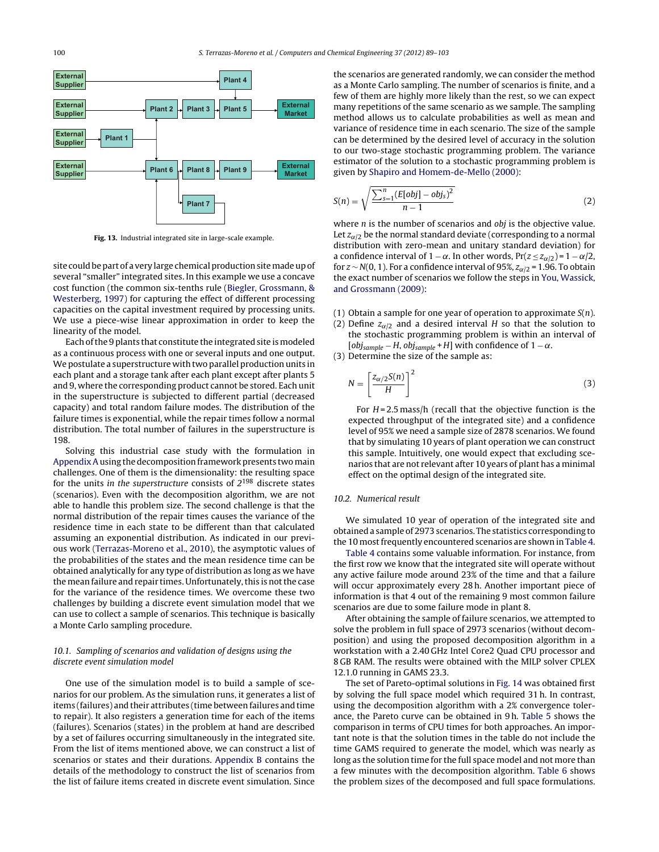

Fig. 13. Industrial integrated site in large-scale example.

site could be part of a very large chemical production site made up of several "smaller" integrated sites. In this example we use a concave cost function (the common six-tenths rule (Biegler, Grossmann, & Westerberg, 1997) for capturing the effect of different processing capacities on the capital investment required by processing units. We use a piece-wise linear approximation in order to keep the linearity of the model.

Each of the 9 plants that constitute the integrated site is modeled as a continuous process with one or several inputs and one output. We postulate a superstructure with two parallel production units in each plant and a storage tank after each plant except after plants 5 and 9, where the corresponding product cannot be stored. Each unit in the superstructure is subjected to different partial (decreased capacity) and total random failure modes. The distribution of the failure times is exponential, while the repair times follow a normal distribution. The total number of failures in the superstructure is 198.

Solving this industrial case study with the formulation in Appendix A using the decomposition framework presents two main challenges. One of them is the dimensionality: the resulting space for the units in the superstructure consists of  $2^{198}$  discrete states (scenarios). Even with the decomposition algorithm, we are not able to handle this problem size. The second challenge is that the normal distribution of the repair times causes the variance of the residence time in each state to be different than that calculated assuming an exponential distribution. As indicated in our previous work (Terrazas-Moreno et al., 2010), the asymptotic values of the probabilities of the states and the mean residence time can be obtained analytically for any type of distribution as long as we have the mean failure and repair times. Unfortunately, this is not the case for the variance of the residence times. We overcome these two challenges by building a discrete event simulation model that we can use to collect a sample of scenarios. This technique is basically a Monte Carlo sampling procedure.

## 10.1. Sampling of scenarios and validation of designs using the discrete event simulation model

One use of the simulation model is to build a sample of scenarios for our problem. As the simulation runs, it generates a list of items (failures) and their attributes (time between failures and time to repair). It also registers a generation time for each of the items (failures). Scenarios (states) in the problem at hand are described by a set of failures occurring simultaneously in the integrated site. From the list of items mentioned above, we can construct a list of scenarios or states and their durations. Appendix B contains the details of the methodology to construct the list of scenarios from the list of failure items created in discrete event simulation. Since

the scenarios are generated randomly, we can consider the method as a Monte Carlo sampling. The number of scenarios is finite, and a few of them are highly more likely than the rest, so we can expect many repetitions of the same scenario as we sample. The sampling method allows us to calculate probabilities as well as mean and variance of residence time in each scenario. The size of the sample can be determined by the desired level of accuracy in the solution to our two-stage stochastic programming problem. The variance estimator of the solution to a stochastic programming problem is given by Shapiro and Homem-de-Mello (2000):

$$
S(n) = \sqrt{\frac{\sum_{s=1}^{n} (E[obj] - obj_s)^2}{n - 1}}
$$
 (2)

where  $n$  is the number of scenarios and  $obj$  is the objective value. Let  $z_{\alpha/2}$  be the normal standard deviate (corresponding to a normal distribution with zero-mean and unitary standard deviation) for a confidence interval of  $1 - \alpha$ . In other words, Pr( $z \leq z_{\alpha/2}$ ) =  $1 - \alpha/2$ , for  $z \sim N(0, 1)$ . For a confidence interval of 95%,  $z_{\alpha/2}$  = 1.96. To obtain the exact number of scenarios we follow the steps in You, Wassick, and Grossmann (2009):

- (1) Obtain a sample for one year of operation to approximate  $S(n)$ .
- (2) Define  $z_{\alpha/2}$  and a desired interval H so that the solution to the stochastic programming problem is within an interval of [obj<sub>sample</sub> – H, obj<sub>sample</sub> + H] with confidence of  $1 - \alpha$ .
- (3) Determine the size of the sample as:

$$
N = \left[\frac{z_{\alpha/2}S(n)}{H}\right]^2\tag{3}
$$

For  $H = 2.5$  mass/h (recall that the objective function is the expected throughput of the integrated site) and a confidence level of 95% we need a sample size of 2878 scenarios. We found that by simulating 10 years of plant operation we can construct this sample. Intuitively, one would expect that excluding scenarios that are not relevant after 10 years of plant has a minimal effect on the optimal design of the integrated site.

#### 10.2. Numerical result

We simulated 10 year of operation of the integrated site and obtained a sample of 2973 scenarios. The statistics corresponding to the 10 most frequently encountered scenarios are shown in Table 4.

Table 4 contains some valuable information. For instance, from the first row we know that the integrated site will operate without any active failure mode around 23% of the time and that a failure will occur approximately every 28 h. Another important piece of information is that 4 out of the remaining 9 most common failure scenarios are due to some failure mode in plant 8.

After obtaining the sample of failure scenarios, we attempted to solve the problem in full space of 2973 scenarios (without decomposition) and using the proposed decomposition algorithm in a workstation with a 2.40 GHz Intel Core2 Quad CPU processor and 8 GB RAM. The results were obtained with the MILP solver CPLEX 12.1.0 running in GAMS 23.3.

The set of Pareto-optimal solutions in Fig. 14 was obtained first by solving the full space model which required 31 h. In contrast, using the decomposition algorithm with a 2% convergence tolerance, the Pareto curve can be obtained in 9 h. Table 5 shows the comparison in terms of CPU times for both approaches. An important note is that the solution times in the table do not include the time GAMS required to generate the model, which was nearly as long as the solution time for the full space model and not more than a few minutes with the decomposition algorithm. Table 6 shows the problem sizes of the decomposed and full space formulations.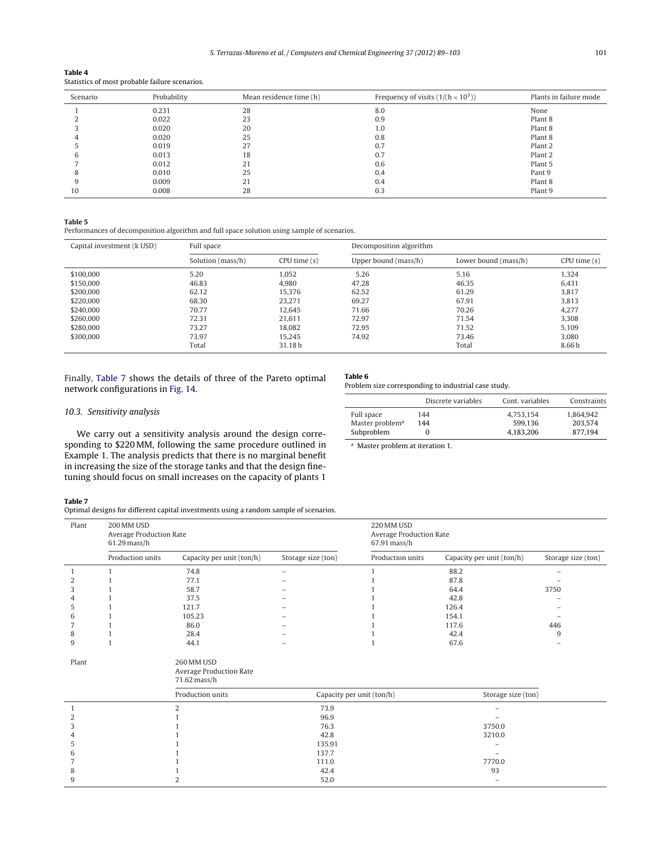| Table 4                                        |
|------------------------------------------------|
| Statistics of most probable failure scenarios. |

| Scenario | Probability | Mean residence time (h) | Frequency of visits $(1/(\hbar \times 10^3))$ | Plants in failure mode |
|----------|-------------|-------------------------|-----------------------------------------------|------------------------|
|          | 0.231       | 28                      | 8.0                                           | None                   |
|          | 0.022       | 23                      | 0.9                                           | Plant 8                |
|          | 0.020       | 20                      | 1.0                                           | Plant 8                |
|          | 0.020       | 25                      | 0.8                                           | Plant 8                |
|          | 0.019       | 27                      | 0.7                                           | Plant 2                |
|          | 0.013       | 18                      | 0.7                                           | Plant 2                |
|          | 0.012       | 21                      | 0.6                                           | Plant 5                |
|          | 0.010       | 25                      | 0.4                                           | Pant 9                 |
|          | 0.009       | 21                      | 0.4                                           | Plant 8                |
| 10       | 0.008       | 28                      | 0.3                                           | Plant 9                |

## Table 5

Performances of decomposition algorithm and full space solution using sample of scenarios.

| Capital investment (k USD) | Full space        |             | Decomposition algorithm |                      |             |
|----------------------------|-------------------|-------------|-------------------------|----------------------|-------------|
|                            | Solution (mass/h) | CPU time(s) | Upper bound (mass/h)    | Lower bound (mass/h) | CPU time(s) |
| \$100,000                  | 5.20              | 1.052       | 5.26                    | 5.16                 | 1.324       |
| \$150,000                  | 46.83             | 4,980       | 47.28                   | 46.35                | 6,431       |
| \$200,000                  | 62.12             | 15.376      | 62.52                   | 61.29                | 3,817       |
| \$220,000                  | 68.30             | 23.271      | 69.27                   | 67.91                | 3.813       |
| \$240,000                  | 70.77             | 12.645      | 71.66                   | 70.26                | 4.277       |
| \$260,000                  | 72.31             | 21.611      | 72.97                   | 71.54                | 3.308       |
| \$280,000                  | 73.27             | 18.082      | 72.95                   | 71.52                | 5.109       |
| \$300,000                  | 73.97             | 15.245      | 74.92                   | 73.46                | 3.080       |
|                            | Total             | 31.18h      |                         | Total                | 8.66h       |

Finally, Table 7 shows the details of three of the Pareto optimal network configurations in Fig. 14.

We carry out a sensitivity analysis around the design corresponding to \$220 MM, following the same procedure outlined in Example 1. The analysis predicts that there is no marginal benefit in increasing the size of the storage tanks and that the design finetuning should focus on small increases on the capacity of plants 1

## Table 6

Problem size corresponding to industrial case study.

|                             | Discrete variables | Cont. variables | Constraints |
|-----------------------------|--------------------|-----------------|-------------|
| Full space                  | 144                | 4.753.154       | 1,864,942   |
| Master problem <sup>a</sup> | 144                | 599.136         | 203.574     |
| Subproblem                  |                    | 4.183.206       | 877.194     |
|                             |                    |                 |             |

<sup>a</sup> Master problem at iteration 1.

## Table 7

10.3. Sensitivity analysis

Optimal designs for different capital investments using a random sample of scenarios.

| Plant | 200 MM USD<br>Average Production Rate<br>$61.29 \text{ mass/h}$ |                                                       |                          | 220 MM USD<br>Average Production Rate<br>67.91 mass/h |                           |                    |
|-------|-----------------------------------------------------------------|-------------------------------------------------------|--------------------------|-------------------------------------------------------|---------------------------|--------------------|
|       | Production units                                                | Capacity per unit (ton/h)                             | Storage size (ton)       | Production units                                      | Capacity per unit (ton/h) | Storage size (ton) |
|       |                                                                 | 74.8                                                  | $\overline{\phantom{m}}$ |                                                       | 88.2                      |                    |
| 2     |                                                                 | 77.1                                                  |                          |                                                       | 87.8                      |                    |
| 3     |                                                                 | 58.7                                                  |                          |                                                       | 64.4                      | 3750               |
|       |                                                                 | 37.5                                                  |                          |                                                       | 42.8                      |                    |
| 5     |                                                                 | 121.7                                                 |                          |                                                       | 126.4                     |                    |
| 6     |                                                                 | 105.23                                                |                          |                                                       | 154.1                     |                    |
|       |                                                                 | 86.0                                                  |                          |                                                       | 117.6                     | 446                |
| 8     |                                                                 | 28.4                                                  |                          |                                                       | 42.4                      | 9                  |
| 9     | 1                                                               | 44.1                                                  |                          |                                                       | 67.6                      |                    |
| Plant |                                                                 | 260 MM USD<br>Average Production Rate<br>71.62 mass/h |                          |                                                       |                           |                    |
|       |                                                                 | Production units                                      |                          | Capacity per unit (ton/h)                             | Storage size (ton)        |                    |
|       |                                                                 | 2                                                     | 73.9                     |                                                       |                           |                    |
|       |                                                                 |                                                       | 96.9                     |                                                       |                           |                    |
| 3     |                                                                 |                                                       | 76.3                     |                                                       | 3750.0                    |                    |
|       |                                                                 |                                                       | 42.8                     |                                                       | 3210.0                    |                    |
| 5     |                                                                 |                                                       | 135.91                   |                                                       |                           |                    |
| 6     |                                                                 |                                                       | 137.7                    |                                                       |                           |                    |
|       |                                                                 |                                                       | 111.0                    |                                                       | 7770.0                    |                    |
| 8     |                                                                 |                                                       | 42.4                     |                                                       | 93                        |                    |
| 9     |                                                                 | 2                                                     | 52.0                     |                                                       |                           |                    |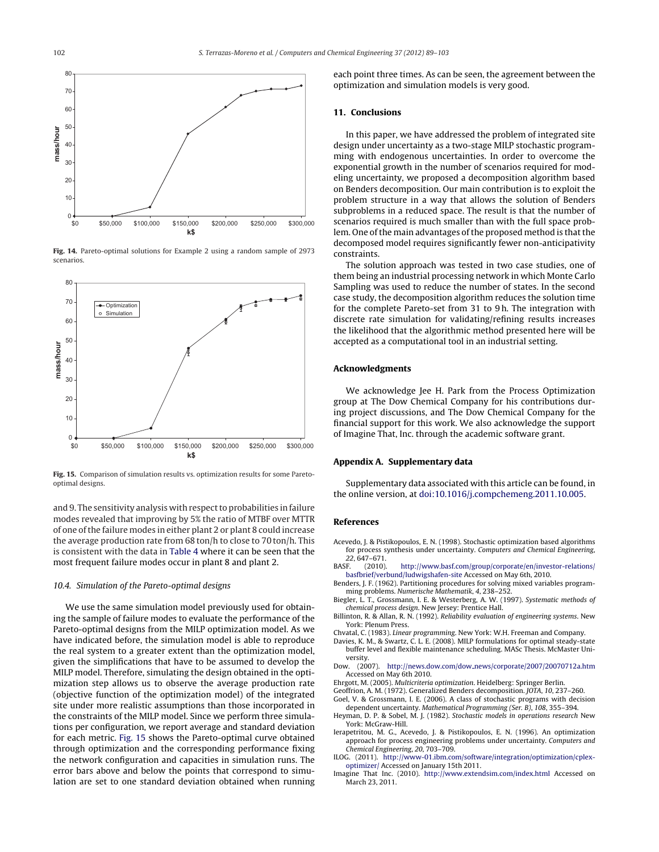

Fig. 14. Pareto-optimal solutions for Example 2 using a random sample of 2973 scenarios.



Fig. 15. Comparison of simulation results vs. optimization results for some Paretooptimal designs.

and 9. The sensitivity analysis with respect to probabilities in failure modes revealed that improving by 5% the ratio of MTBF over MTTR of one of the failure modes in either plant 2 or plant 8 could increase the average production rate from 68 ton/h to close to 70 ton/h. This is consistent with the data in Table 4 where it can be seen that the most frequent failure modes occur in plant 8 and plant 2.

## 10.4. Simulation of the Pareto-optimal designs

We use the same simulation model previously used for obtaining the sample of failure modes to evaluate the performance of the Pareto-optimal designs from the MILP optimization model. As we have indicated before, the simulation model is able to reproduce the real system to a greater extent than the optimization model, given the simplifications that have to be assumed to develop the MILP model. Therefore, simulating the design obtained in the optimization step allows us to observe the average production rate (objective function of the optimization model) of the integrated site under more realistic assumptions than those incorporated in the constraints of the MILP model. Since we perform three simulations per configuration, we report average and standard deviation for each metric. Fig. 15 shows the Pareto-optimal curve obtained through optimization and the corresponding performance fixing the network configuration and capacities in simulation runs. The error bars above and below the points that correspond to simulation are set to one standard deviation obtained when running each point three times. As can be seen, the agreement between the optimization and simulation models is very good.

## 11. Conclusions

In this paper, we have addressed the problem of integrated site design under uncertainty as a two-stage MILP stochastic programming with endogenous uncertainties. In order to overcome the exponential growth in the number of scenarios required for modeling uncertainty, we proposed a decomposition algorithm based on Benders decomposition. Our main contribution is to exploit the problem structure in a way that allows the solution of Benders subproblems in a reduced space. The result is that the number of scenarios required is much smaller than with the full space problem. One of the main advantages of the proposed method is that the decomposed model requires significantly fewer non-anticipativity constraints.

The solution approach was tested in two case studies, one of them being an industrial processing network in which Monte Carlo Sampling was used to reduce the number of states. In the second case study, the decomposition algorithm reduces the solution time for the complete Pareto-set from 31 to 9 h. The integration with discrete rate simulation for validating/refining results increases the likelihood that the algorithmic method presented here will be accepted as a computational tool in an industrial setting.

## Acknowledgments

We acknowledge Jee H. Park from the Process Optimization group at The Dow Chemical Company for his contributions during project discussions, and The Dow Chemical Company for the financial support for this work. We also acknowledge the support of Imagine That, Inc. through the academic software grant.

#### Appendix A. Supplementary data

Supplementary data associated with this article can be found, in the online version, at doi:10.1016/j.compchemeng.2011.10.005.

## References

- Acevedo, J. & Pistikopoulos, E. N. (1998). Stochastic optimization based algorithms for process synthesis under uncertainty. Computers and Chemical Engineering, 22, 647–671.
- BASF. (2010). http://www.basf.com/group/corporate/en/investor-relations/ basfbrief/verbund/ludwigshafen-site Accessed on May 6th, 2010.
- Benders, J. F. (1962). Partitioning procedures for solving mixed variables programming problems. Numerische Mathematik, 4, 238–252.
- Biegler, L. T., Grossmann, I. E. & Westerberg, A. W. (1997). Systematic methods of chemical process design. New Jersey: Prentice Hall.
- Billinton, R. & Allan, R. N. (1992). Reliability evaluation of engineering systems. New York: Plenum Press.
- Chvatal, C. (1983). Linear programming. New York: W.H. Freeman and Company.
- Davies, K. M., & Swartz, C. L. E. (2008). MILP formulations for optimal steady-state buffer level and flexible maintenance scheduling. MASc Thesis. McMaster Uni-
- versity.<br>Dow. (2007). http://news.dow.com/dow\_news/corporate/2007/20070712a.htm Accessed on May 6th 2010.
- Ehrgott, M. (2005). Multicriteria optimization. Heidelberg: Springer Berlin.
- Geoffrion, A. M. (1972). Generalized Benders decomposition. JOTA, 10, 237–260. Goel, V. & Grossmann, I. E. (2006). A class of stochastic programs with decision
- dependent uncertainty. Mathematical Programming (Ser. B), 108, 355–394. Heyman, D. P. & Sobel, M. J. (1982). Stochastic models in operations research New York: McGraw-Hill.
- Ierapetritou, M. G., Acevedo, J. & Pistikopoulos, E. N. (1996). An optimization approach for process engineering problems under uncertainty. Computers and Chemical Engineering, 20, 703–709.
- ILOG. (2011). http://www-01.ibm.com/software/integration/optimization/cplexoptimizer/ Accessed on January 15th 2011.
- Imagine That Inc. (2010). http://www.extendsim.com/index.html Accessed on March 23, 2011.